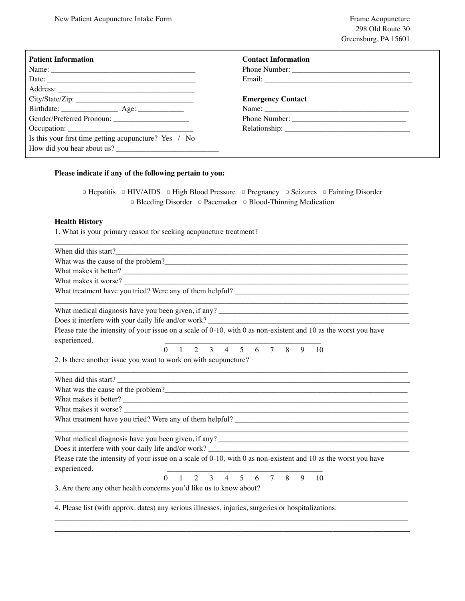| <b>Patient Information</b>                            | <b>Contact Information</b> |
|-------------------------------------------------------|----------------------------|
|                                                       | Phone Number:              |
| Date:                                                 |                            |
|                                                       |                            |
|                                                       | <b>Emergency Contact</b>   |
|                                                       |                            |
|                                                       |                            |
|                                                       |                            |
| Is this your first time getting acupuncture? Yes / No |                            |
| How did you hear about us?                            |                            |

## **Please indicate if any of the following pertain to you:**

|  |                                                                            |  | $\Box$ Hepatitis $\Box$ HIV/AIDS $\Box$ High Blood Pressure $\Box$ Pregnancy $\Box$ Seizures $\Box$ Fainting Disorder |
|--|----------------------------------------------------------------------------|--|-----------------------------------------------------------------------------------------------------------------------|
|  | $\Box$ Bleeding Disorder $\Box$ Pacemaker $\Box$ Blood-Thinning Medication |  |                                                                                                                       |

\_\_\_\_\_\_\_\_\_\_\_\_\_\_\_\_\_\_\_\_\_\_\_\_\_\_\_\_\_\_\_\_\_\_\_\_\_\_\_\_\_\_\_\_\_\_\_\_\_\_\_\_\_\_\_\_\_\_\_\_\_\_\_\_\_\_\_\_\_\_\_\_\_\_\_\_\_\_\_\_\_\_\_\_\_\_\_\_\_\_\_\_\_

## **Health History**

1. What is your primary reason for seeking acupuncture treatment?

| When did this start?                                                                                                                                                                                                                   |          |  |  |                                     |  |   |    |  |
|----------------------------------------------------------------------------------------------------------------------------------------------------------------------------------------------------------------------------------------|----------|--|--|-------------------------------------|--|---|----|--|
| What was the cause of the problem?                                                                                                                                                                                                     |          |  |  |                                     |  |   |    |  |
| What makes it better?                                                                                                                                                                                                                  |          |  |  |                                     |  |   |    |  |
| What makes it worse?                                                                                                                                                                                                                   |          |  |  |                                     |  |   |    |  |
|                                                                                                                                                                                                                                        |          |  |  |                                     |  |   |    |  |
|                                                                                                                                                                                                                                        |          |  |  |                                     |  |   |    |  |
|                                                                                                                                                                                                                                        |          |  |  |                                     |  |   |    |  |
| Please rate the intensity of your issue on a scale of 0-10, with 0 as non-existent and 10 as the worst you have<br>experienced.                                                                                                        |          |  |  |                                     |  |   |    |  |
|                                                                                                                                                                                                                                        |          |  |  | $0 \t1 \t2 \t3 \t4 \t5 \t6 \t7 \t8$ |  | 9 | 10 |  |
| 2. Is there another issue you want to work on with acupuncture?                                                                                                                                                                        |          |  |  |                                     |  |   |    |  |
| When did this start?                                                                                                                                                                                                                   |          |  |  |                                     |  |   |    |  |
| What was the cause of the problem?                                                                                                                                                                                                     |          |  |  |                                     |  |   |    |  |
| What makes it better?                                                                                                                                                                                                                  |          |  |  |                                     |  |   |    |  |
|                                                                                                                                                                                                                                        |          |  |  |                                     |  |   |    |  |
|                                                                                                                                                                                                                                        |          |  |  |                                     |  |   |    |  |
| What medical diagnosis have you been given, if any?<br><u>Universe and the set of the set of the set of the set of the set of the set of the set of the set of the set of the set of the set of the set of the set of the set of t</u> |          |  |  |                                     |  |   |    |  |
| Does it interfere with your daily life and/or work?                                                                                                                                                                                    |          |  |  |                                     |  |   |    |  |
| Please rate the intensity of your issue on a scale of $0-10$ , with 0 as non-existent and 10 as the worst you have<br>experienced.                                                                                                     |          |  |  |                                     |  |   |    |  |
|                                                                                                                                                                                                                                        | $\Omega$ |  |  | 1 2 3 4 5 6 7 8 9 10                |  |   |    |  |
| 3. Are there any other health concerns you'd like us to know about?                                                                                                                                                                    |          |  |  |                                     |  |   |    |  |
| 4. Please list (with approx. dates) any serious illnesses, injuries, surgeries or hospitalizations:                                                                                                                                    |          |  |  |                                     |  |   |    |  |

\_\_\_\_\_\_\_\_\_\_\_\_\_\_\_\_\_\_\_\_\_\_\_\_\_\_\_\_\_\_\_\_\_\_\_\_\_\_\_\_\_\_\_\_\_\_\_\_\_\_\_\_\_\_\_\_\_\_\_\_\_\_\_\_\_\_\_\_\_\_\_\_\_\_\_\_\_\_\_\_\_\_\_\_\_\_\_\_\_\_\_\_\_ \_\_\_\_\_\_\_\_\_\_\_\_\_\_\_\_\_\_\_\_\_\_\_\_\_\_\_\_\_\_\_\_\_\_\_\_\_\_\_\_\_\_\_\_\_\_\_\_\_\_\_\_\_\_\_\_\_\_\_\_\_\_\_\_\_\_\_\_\_\_\_\_\_\_\_\_\_\_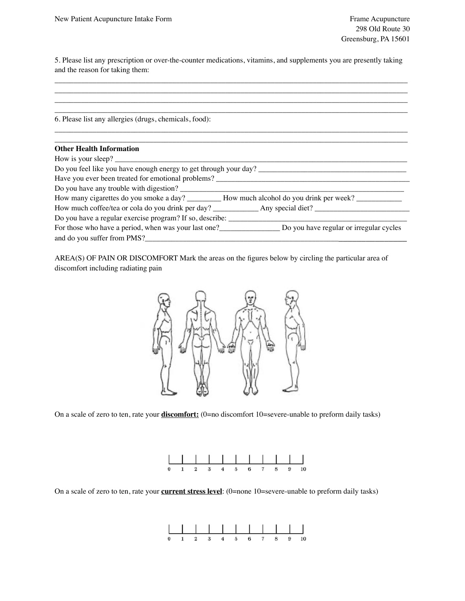5. Please list any prescription or over-the-counter medications, vitamins, and supplements you are presently taking and the reason for taking them:

| 6. Please list any allergies (drugs, chemicals, food):                                       |
|----------------------------------------------------------------------------------------------|
|                                                                                              |
| <b>Other Health Information</b>                                                              |
| How is your sleep?                                                                           |
| Do you feel like you have enough energy to get through your day?                             |
| Have you ever been treated for emotional problems?                                           |
|                                                                                              |
|                                                                                              |
|                                                                                              |
|                                                                                              |
| For those who have a period, when was your last one? Do you have regular or irregular cycles |
|                                                                                              |

AREA(S) OF PAIN OR DISCOMFORT Mark the areas on the figures below by circling the particular area of discomfort including radiating pain



On a scale of zero to ten, rate your **discomfort:** (0=no discomfort 10=severe-unable to preform daily tasks)



On a scale of zero to ten, rate your **current stress level**: (0=none 10=severe-unable to preform daily tasks)